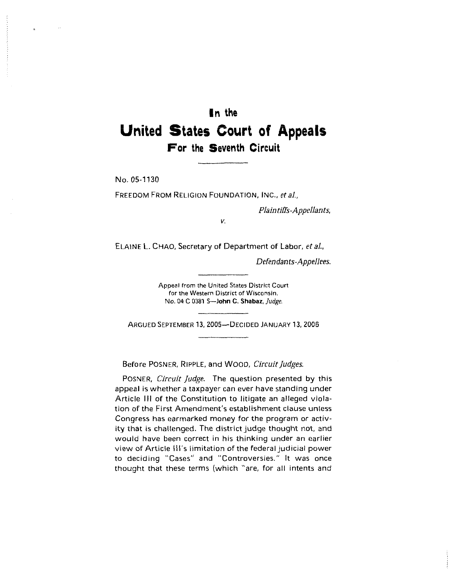# **In the United States Court of Appeals For the Seventh Circuit**

No. 05-1130

FREEDOM FROM RELIGION FOUNDATION, INC., *et al.,* 

*Plaintiffs-Appellants,* 

*V.* 

ELAINE L. CHAO, Secretary of Department of Labor, et al.,

*Defendants-Appellees.* 

Appeal from the United States District Court for the Western District of Wisconsin. No. **04** C 0381 S-John **C. Shabaz,** *Judge.* 

ARGUED SEPTEMBER 13, 2005-DECIDED JANUARY 13, 2006

Before POSNER, RIPPLE, and WOOD, *Circuit Judges.* 

POSNER, *Circuit Judge.* The question presented by this appeal is whether a taxpayer can ever have standing under Article Ill of the Constitution to litigate an alleged violation of the First Amendment's establishment clause unless Congress has earmarked money for the program or activity that is challenged. The district judge thought **not,** and would have been correct in his thinking under an earlier view of Article **Ill's** limitation of the federal judicial power to deciding "Cases" and "Controversies." It was once thought that these terms (which "are, for all intents and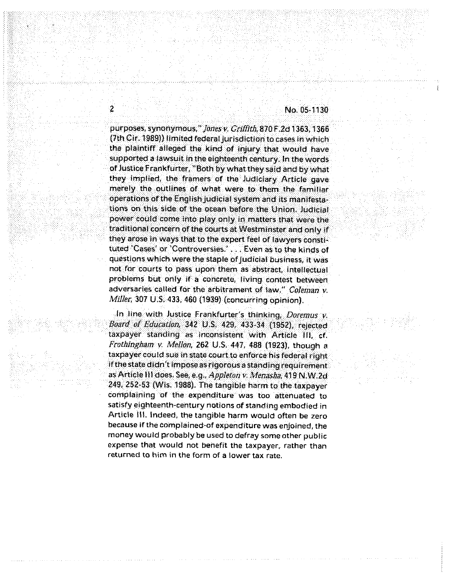purposes, synonymous," Jones v. Griffith, 870 F.2d 1363, 1366 (7th Cir. 1989)) limited federal jurisdiction to cases in which the plaintiff alleged the kind of injury that would have supported a lawsuit in the eighteenth century. In the words of Justice Frankfurter, "Both by what they said and by what they implied, the framers of the Judiciary Article gave merely the outlines of what were to them the familiar operations of the English judicial system and its manifestations on this side of the ocean before the Union. Judicial power could come into play only in matters that were the traditional concern of the courts at Westminster and only if they arose in ways that to the expert feel of lawyers constituted 'Cases' or 'Controversies.' . . . Even as to the kinds of questions which were the staple of Judicial business, it was not for courts to pass upon them as abstract, intellectual problems but only if a concrete, living contest between adversaries called for the arbitrament of law." Coleman v. Miller, 307 U.S. 433, 460 (1939) (concurring opinion).

2

In line with Justice Frankfurter's thinking, Doremus v. Board of Education, 342 U.S. 429, 433-34 (1952), rejected taxpayer standing as inconsistent with Article III, cf. Frothingham v. Mellon, 262 U.S. 447, 488 (1923), though a taxpayer could sue in state court to enforce his federal right if the state didn't impose as rigorous a standing requirement as Article III does. See, e.g., Appleton v. Menasha, 419 N.W.2d 249, 252-53 (Wis. 1988). The tangible harm to the taxpayer complaining of the expenditure was too attenuated to satisfy eighteenth-century notions of standing embodied in Article III. Indeed, the tangible harm would often be zero because if the complained-of expenditure was enjoined, the money would probably be used to defray some other public **expense that would not benefit the taxpayer, rather than returned to him in the form of a lower tax rate.**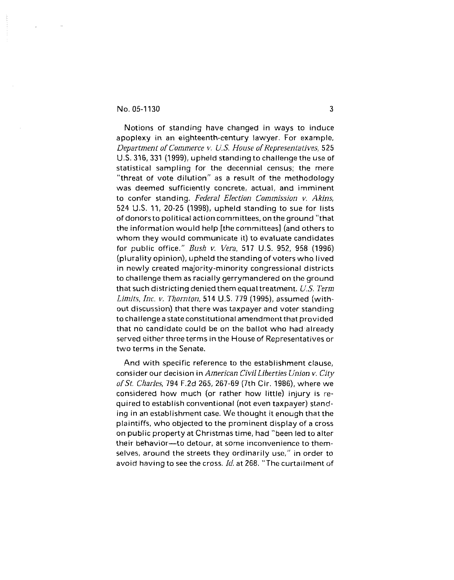Notions of standing have changed in ways to induce apoplexy in an eighteenth-century lawyer. For example, *Department of Commerce v. US. House of Representatives,* 525 U.S. 316,331 (1999), upheld standing to challenge the use of statistical sampling for the decennial census; the mere "threat of vote dilution" as a result of the methodology was deemed sufficiently concrete, actual, and imminent to confer standing. *Federal Election Commission v. Akins,*  524 U.S. 11, 20-25 (1998), upheld standing to sue for lists of donors to political action committees, on theground "that the information would help [the committees] (and others to whom they would communicate it) to evaluate candidates for public office." *Bush v. Vera,* 517 U.S. 952, 958 (1996) (plurality opinion), upheld the standing of voters who lived in newly created majority-minority congressional districts to challenge them as racially gerrymandered on the ground that such districting denied themequal treatment. *U.S. Term Limits, Inc. v. Thornton, 514* U.S. 779 (1995), assumed (without discussion) that there was taxpayer and voter standing tochallenge a state constitutional amendment that provided that no candidate could be on the ballot who had already served either three terms in the House of Representatives or two terms in the Senate.

And with specific reference to the establishment clause, consider our decision in *American CivilLiberties Union v. City ofst. Charles,* 794 F.2d 265, 267-69 (7th Cir. 1986), where we considered how much (or rather how little) injury is required to establish conventional (not even taxpayer) standing in an establishment case. We thought it enough that the plaintiffs, who objected to the prominent display of a cross on public property at Christmas time, had "been led to alter their behavior-to detour, at some inconvenience to themselves, around the streets they ordinarily use," in order to avoid having to see the cross. Id. at 268. "The curtailment of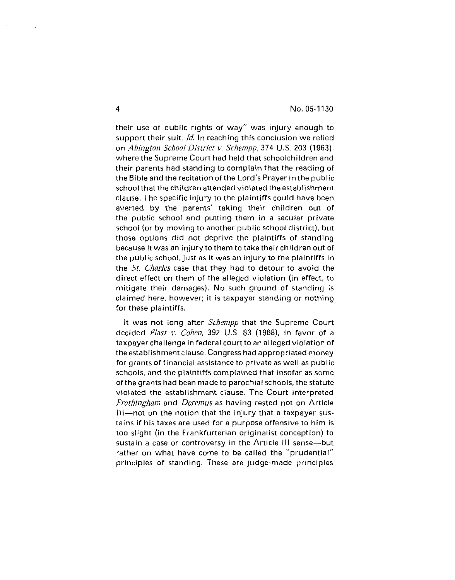their use of public rights of way" was injury enough to support their suit. *Id.* In reaching this conclusion we relied on *Abington School District* **v.** *Schempp,* 374 U.S. 203 **(1** 963), where the Supreme Court had held that schoolchildren and their parents had standing to complain that the reading of the Bible and the recitation of the Lord's Prayer in the public school that the children attended violated the establishment clause. The specific injury to the plaintiffs could have been averted by the parents' taking their children out of the public school and putting them in a secular private school (or by moving to another public school district), but those options did not deprive the plaintiffs of standing because it was an injury to them to take their children out of the public school, just as it was an injury to the plaintiffs in the *St. Charles* case that they had to detour to avoid the direct effect on them of the alleged violation (in effect, to mitigate their damages). No such ground of standing is claimed here, however; it is taxpayer standing or nothing for these plaintiffs.

It was not long after *Schempp* that the Supreme Court decided *Flast v. Cohen,* 392 U.S. 83 (1968), in favor of a taxpayer challenge in federal court to an alleged violation of the establishment clause. Congress had appropriated money for grants of financial assistance to private as well as public schools, and the plaintiffs complained that insofar as some of the grants had been made to parochial schools, the statute violated the establishment clause. The Court interpreted *Frothingham* and *Doremus* as having rested not on Article  $II$ -not on the notion that the injury that a taxpayer sustains if his taxes are used for a purpose offensive to him is too slight (in the Frankfurterian originalist conception) to sustain a case or controversy in the Article III sense-but rather on what have come to be called the "prudential" principles of standing. These are judge-made principles

 $\overline{\mathbf{4}}$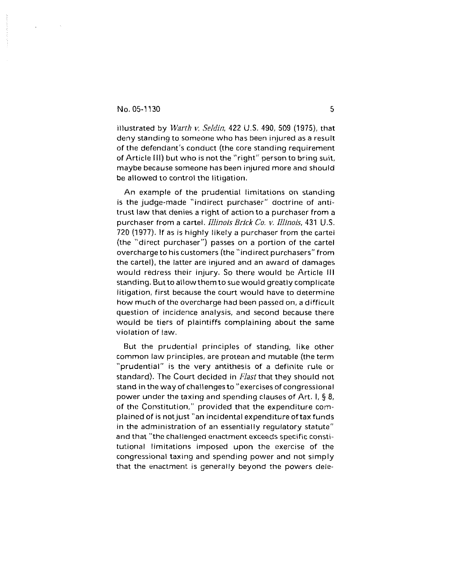illustrated by *Warth* **v.** *Seldin,* 422 U.S. 490, 509 (1975), that deny standing to someone who has been injured as a result of the defendant's conduct (the core standing requirement of Article Ill) but who is notthe "right" person to bring suit, maybe because someone has been injured more and should be allowed to control the litigation.

An example of the prudential limitations on standing is the judge-made "indirect purchaser" doctrine of antitrust law that denies a right of action to a purchaser from a purchaser from a cartel. *Illinois* **Brick** *Co.* v. *Illinois.* 431 US. *720* (1977). If as is highly likely a purchaser from the cartel (the "direct purchaser") passes on a portion of the cartel overcharge to his customers (the "indirect purchasers" from the cartel), the latter are injured and an award of damages would redress their injury. So there would be Article Ill standing. Butto allow them to sue would greatly complicate litigation, first because the court would have to determine how much of the overcharge had been passed on, a difficult question of incidence analysis, and second because there would be tiers of plaintiffs complaining about the same violation of law.

But the prudential principles of standing, like other common law principles, are protean and mutable (the term "prudential" is the very antithesis of a definite rule or standard). The Court decided in *Flast* that they should not stand in the way of challenges to "exercises of congressional power under the taxing and spending clauses of Art. I, *5* 8, of the Constitution," provided that the expenditure complained of is notjust "an incidental expenditure of tax funds in the administration of an essentially regulatory statute" and that "the challenged enactment exceeds specific constitutional limitations imposed upon the exercise of the congressional taxing and spending power and not simply that the enactment is generally beyond the powers dele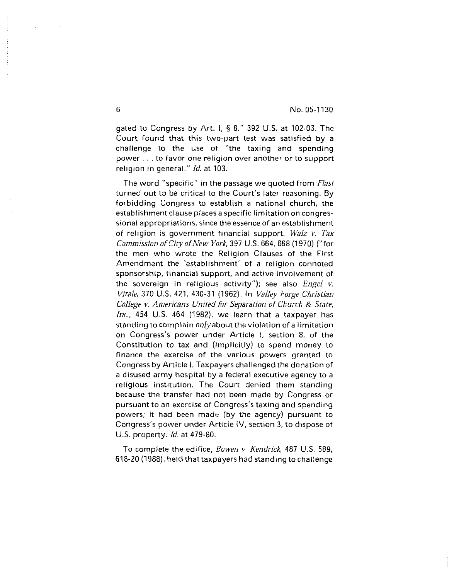gated to Congress by Art. I, *5* 8." 392 U.S. at 102-03. The Court found that this two-part test was satisfied by a challenge to the use of "the taxing and spending power. . . to favor one religion over another or to support religion in general.'' *Id.* at 103.

The word "specific" in the passage we quoted from *Flast*  turned out to be critical to the Court's later reasoning. By forbidding Congress to establish a national church, the establishment clause places a specific limitation on congressional appropriations, since the essence of an establishment of religion is government financial support. *Walz* v. *Tax Commission of City of New York,* 397 U.S. 664, 668 (1970) ("for the men who wrote the Religion Clauses of the First Amendment the 'establishment' of a religion connoted sponsorship, financial support, and active involvement of the sovereign in religious activity"); see also *Engel* **v.**  *Vitale,* 370 U.S. 421, 430-31 (1962). In *Valley Forge Christian College v. Americans United for Separation of Church* & State, *Inc.,* 454 U.S. 464 (1982), we learn that a taxpayer has standing to complain *only* about the violation of a limitation on Congress's power under Article I, section 8, of the Constitution to tax and (implicitly) to spend money to finance the exercise of the various powers granted to Congress by Article I. Taxpayers challenged the donation of a disused army hospital by a federal executive agency to a religious institution. The Court denied them standing because the transfer had not been made by Congress or pursuant to an exercise of Congress's taxing and spending powers; it had been made (by the agency) pursuant to Congress's power under Article IV, section 3, to dispose of U.S. property. *Id.* at 479-80.

To complete the edifice, *Bowen v. Kendrick,* 487 U.S. 589, 618-20 (1988), held that taxpayers **had** standing to challenge

6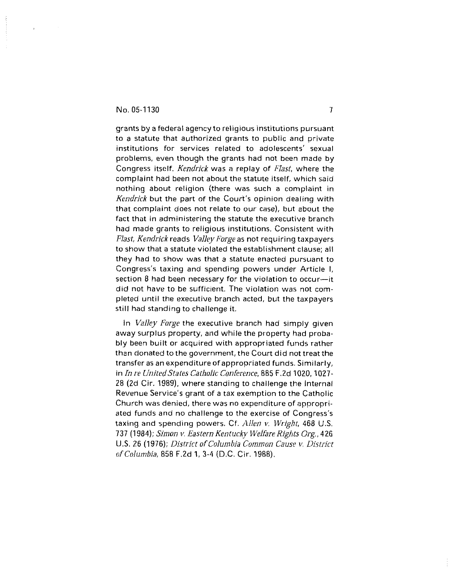grants by a federal agency to religious institutions pursuant to a statute that authorized grants to public and private institutions for services related to adolescents' sexual problems, even though the grants had not been made by Congress itself. *Kendrick* was a replay of *Flast,* where the complaint had been not about the statute itself, which said nothing about religion (there was such a complaint in *Kendrick* but the part of the Court's opinion dealing with that complaint does not relate to our case), but about the fact that in administering the statute the executive branch had made grants to religious institutions. Consistent with *Flast, Kendrick* reads *Valley Forge* as not requiring taxpayers to show that a statute violated the establishment clause; all they had to show was that a statute enacted pursuant to Congress's taxing and spending powers under Article I, section 8 had been necessary for the violation to occur-it did not have to be sufficient. The violation was not completed until the executive branch acted, but the taxpayers still had standing to challenge it.

In *Valley Forge* the executive branch had simply given away surplus property, and while the property had probably been built or acquired with appropriated funds rather than donated to the government, the Court did not treat the transfer as an expenditure of appropriated funds. Similarly, in *In re United States Catholic Conference*, 885 F.2d 1020, 1027-28 (2d Cir. 1989), where standing to challenge the Internal Revenue Service's grant of a tax exemption to the Catholic Church was denied, there was no expenditure of appropriated funds and no challenge to the exercise of Congress's taxing and spending powers. Cf. *Alien* **v.** *Wight,* 468 U.S. 737 (1984); *Simon v. Eastern Kentucky Welfare Rights Org.*, 426 US. 26 (1 976); *District of Columbia Common Cause v. District of Columbia,* 858 F.2d **1,** 3-4 (D.C. Cir. 1988).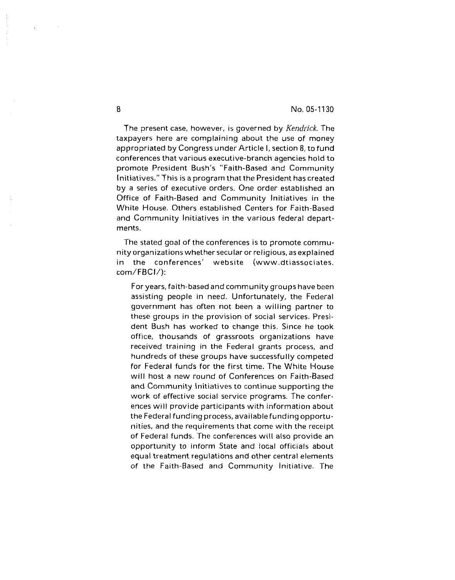The present case, however, is governed by *Kendrick.* The taxpayers here are complaining about the use of money appropriated by Congress under Article I, section 8, to fund conferences that various executive-branch agencies hold to promote President Bush's "Faith-Based and Community Initiatives." This is a program that the President has created by a series of executive orders. One order established an Office of Faith-Based and Community Initiatives in the White House. Others established Centers for Faith-Based and Community Initiatives in the various federal departments.

The stated goal of the conferences is to promote community organizations whether secular or religious, asexplained in the conferences' website (www.dtiassociates. com/FBCI/):

For years, faith-based and community groups have been assisting people in need. Unfortunately, the Federal government has often not been a willing partner to these groups in the provision of social services. President Bush has worked to change this. Since he took office, thousands of grassroots organizations have received training in the Federal grants process, and hundreds of these groups have successfully competed for Federal funds for the first time. The White House will host a new round of Conferences on Faith-Based and Community Initiatives to continue supporting the work of effective social service programs. The conferences will provide participants with information about the Federal funding process, availablefundingopportunities, and the requirements that come with the receipt of Federal funds. The conferences will also provide an opportunity to inform State and local officials about equal treatment regulations and other central elements of the Faith-Based and Community Initiative. The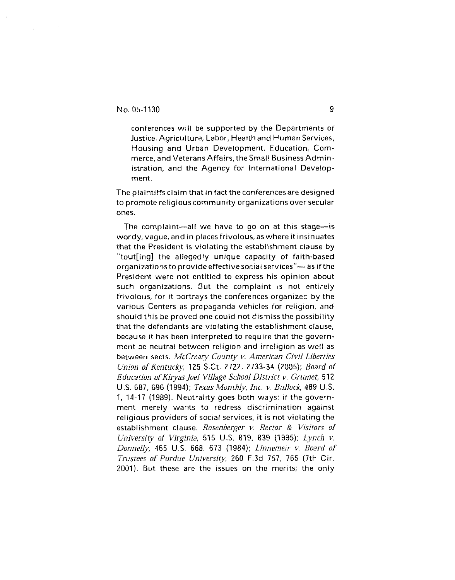$\mathcal{L}$ 

conferences will be supported by the Departments of Justice, Agriculture, Labor, Health and Human Services. Housing and Urban Development, Education, Commerce, and Veterans Affairs, the Small Business Administration, and the Agency for International Development.

The plaintiffs claim that in fact the conferences are designed to promote religious community organizations over secular ones.

The complaint-all we have to go on at this stage-is wordy, vague, and in placesfrivolous, as where it insinuates that the President is violating the establishment clause by "tout[ing] the allegedly unique capacity of faith-based organizations to provide effective social services" $-$  as if the President were not entitled to express his opinion about such organizations. But the complaint is not entirely frivolous, for it portrays the conferences organized by the various Centers as propaganda vehicles for religion, and should this be proved one could not dismiss the possibility that the defendants are violating the establishment clause, because it has been interpreted to require that the government be neutral between religion and irreligion as well as between sects. *McCreary County v. American Civil Liberties Union of Kentucky,* 125 S.Ct. 2722, 2733-34 (2005); *Board of Education of Kiryas Joel Village School District v. Grumet,* 512 US. 687, 696 (1994); *Texas Monthly, Inc. v. Bullock,* 489 US. 1, 14-17 (1989). Neutrality goes both ways; if the government merely wants to redress discrimination against religious providers of social services, it is not violating the establishment clause. *Rosenberger v. Rector* & *Visitors of University of Virginia,* 515 U.S. 819, 839 (1995); *Lynch* v. *Donnelly,* 465 US. 668, 673 (1984); *Linnemeir* v. *Board of Trustees of Purdue University,* 260 F.3d 757, 765 (7th Cir. 2001). But these are the issues on the merits; the only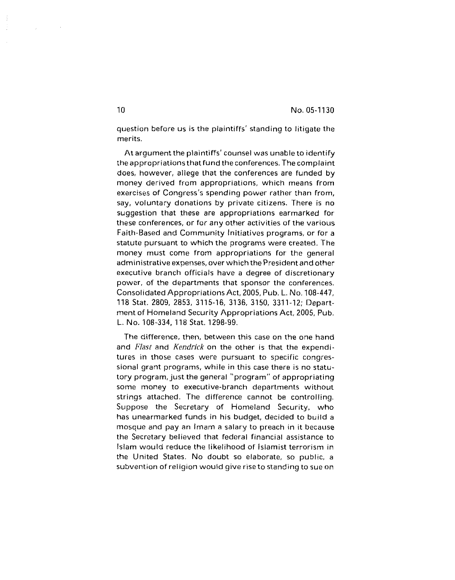question before us is the plaintiffs' standing to litigate the merits.

At argument the plaintiffs' counsel was unable to identify the appropriations that fund theconferences. The complaint does, however, allege that the conferences are funded by money derived from appropriations, which means from exercises of Congress's spending power rather than from, say, voluntary donations by private citizens. There is no suggestion that these are appropriations earmarked for these conferences, or for any other activities of the various Faith-Based and Community Initiatives programs, or for a statute pursuant to which the programs were created. The money must come from appropriations for the general administrative expenses, over which the President and other executive branch officials have a degree of discretionary power, of the departments that sponsor the conferences. Consolidated Appropriations Act, 2005, Pub. **L.** No. 108-447. 118 Stat. 2809, 2853, 3115-16, 3136, 3150, 3311-12; Department of Homeland Security Appropriations Act. 2005, Pub. **L.** No. 108-334, 118 Stat. 1298-99.

The difference, then, between this case on the one hand and *Flast* and *Kendrick* on the other is that the expenditures in those cases were pursuant to specific congressional grant programs, while in this case there is no statutory program, just the general "program" of appropriating some money to executive-branch departments without strings attached. The difference cannot be controlling. Suppose the Secretary of Homeland Security, who has unearmarked funds in his budget, decided to build a mosque and pay an Imam a salary to preach in it because the Secretary believed that federal financial assistance to Islam would reduce the likelihood of islamist terrorism in the United States. No doubt so elaborate, so public, a subvention of reiigion would give rise to standing to sue on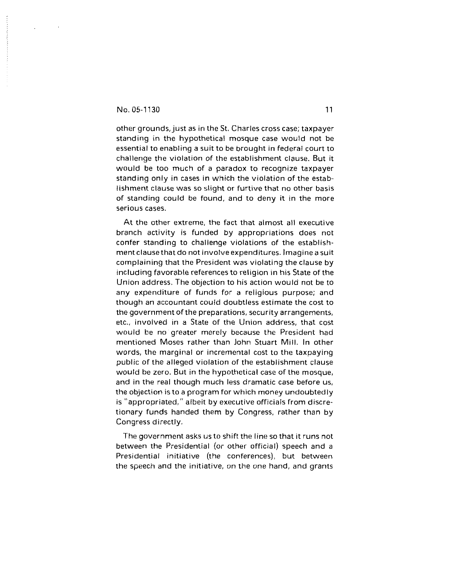$\sim 10$ 

 $\mathcal{L}$ 

other grounds, just as in the St. Charles cross case; taxpayer standing in the hypothetical mosque case would not be essential to enabling a suit to be brought in federal court to challenge the violation of the establishment clause. But it would be too much of a paradox to recognize taxpayer standing only in cases in which the violation of the establishment clause was so slight or furtive that no other basis of standing could be found, and to deny it in the more serious cases.

At the other extreme, the fact that almost all executive branch activity is funded by appropriations does not confer standing to challenge violations of the establishment clause that do not involve expenditures. Imagine a suit complaining that the President was violating the clause by including favorable references to religion in his State of the Union address. The objection to his action would not be to any expenditure of funds for a religious purpose; and though an accountant could doubtless estimate the cost to the government of the preparations, security arrangements, etc.. involved in a State of the Union address, that cost would be no greater merely because the President had mentioned Moses rather than John Stuart Mill. In other words, the marginal or incremental cost to the taxpaying public of the alleged violation of the establishment clause would be zero. But in the hypothetical case of the mosque, and in the real though much less dramatic case before us, the objection is to a program for which money undoubtedly is "appropriated," albeit by executive officials from discretionary funds handed them by Congress, rather than by Congress directly.

The government asks us to shift the line so that it runs not between the Presidential (or other official) speech and a Presidential initiative (the conferences), but between the speech and the initiative, on the one hand, and grants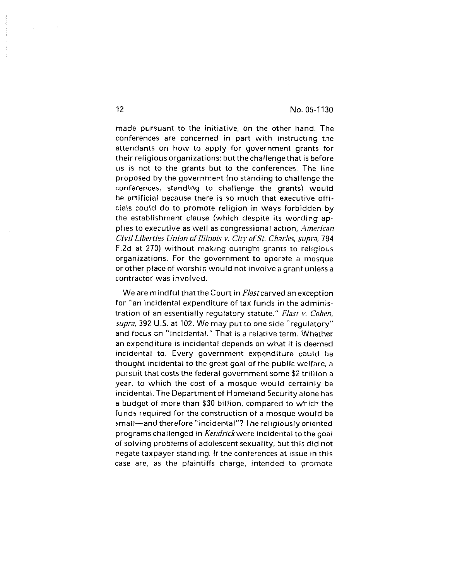made pursuant to the initiative, on the other hand. The conferences are concerned in part with instructing the attendants on how to apply for government grants for their religious organizations; but thechallenge that is before us is not to the grants but to the conferences. The line proposed by the government (no standing to challenge the conferences, standing to challenge the grants) would be artificial because there is so much that executive officials could do to promote religion in ways forbidden by the establishment clause (which despite its wording applies to executive as well as congressional action, American Civil Liberties Union of Illinois v. City of St. Charles, supra, 794 F.2d at 270) without making outright grants to religious organizations. For the government to operate a mosque or other place of worship would not involve a grant unless a contractor was involved.

We are mindful that the Court in Flast carved an exception for "an incidental expenditure of tax funds in the administration of an essentially regulatory statute." Flast **v.** Cohen, supra, 392 U.S. at 102. We may put to one side "regulatory" and focus on "incidental." That is a relative term. Whether an expenditure is incidental depends on what it is deemed incidental to. Every government expenditure could be thought incidental to the great goal of the public welfare, a pursuit that costs the federal government some \$2 trillion a year, to which the cost of a mosque would certainly be incidental. The Department of Homeland Security alone has a budget of more than \$30 billion, compared to which the funds required for the construction of a mosque would be small-and therefore "incidental"? The religiously oriented programs challenged in Kendrickwere incidental to the goal of solving problems of adolescent sexuality, but this did not negate taxpayer standing. If the conferences at issue in this case are, as the plaintiffs charge, intended to promote

 $12$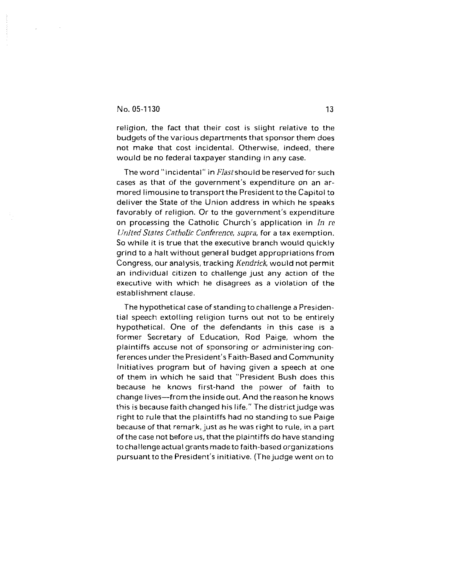religion, the fact that their cost is slight relative to the budgets of the various departments that sponsor them does not make that cost incidental. Otherwise, indeed, there would be no federal taxpayer standing in any case.

The word "incidental" in Flast should be reserved for such cases as that of the government's expenditure on an armored limousine to transport the President to the Capitol to deliver the State of the Union address in which he speaks favorably of religion. Or to the government's expenditure on processing the Catholic Church's application in *In* re United States Catholic Conference, supra, for a tax exemption. So while it is true that the executive branch would quickly grind to a halt without general budget appropriations from Congress, our analysis, tracking Kendrick, would not permit an individual citizen to challenge just any action of the executive with which he disagrees as a violation of the establishment clause.

The hypothetical case of standing to challenge a Presidential speech extolling religion turns out not to be entirely hypothetical. One of the defendants in this case is a former Secretary of Education, Rod Paige, whom the plaintiffs accuse not of sponsoring or administering conferences under the President's Faith-Based and Community Initiatives program but of having given a speech at one of them in which he said that "President Bush does this because he knows first-hand the power of faith to change lives-from the inside out. And the reason he knows this is because faith changed his life." The district judge was right to rule that the plaintiffs had no standing to sue Paige because of that remark, just as he was right to rule, in a part of the case not before us, that the plaintiffs do have standing to challenge actual grants made to faith-based organizations pursuant to the President's initiative. (Thejudge went on to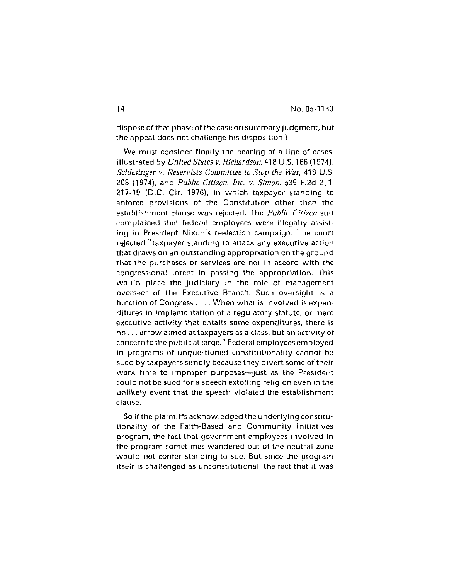dispose of that phase of the case on summary judgment, but the appeal does not challenge his disposition.)

We must consider finally the bearing of a line of cases, illustrated by *United States v. Richardson*, 418 U.S. 166 (1974); *Schlesinger v. Reservists Committee to Stop the War,* 418 U.S. 208 (19741, and *Public Citizen, Inc.* **v.** *Simon,* 539 F.2d 211, 217-19 (D.C. Cir. 1976), in which taxpayer standing to enforce provisions of the Constitution other than the establishment clause was rejected. The *Public Citizen* suit complained that federal employees were illegally assistng in President Nixon's reelection campaign. The court rejected "taxpayer standing to attack any executive action that draws on an outstanding appropriation on the ground that the purchases or services are not in accord with the congressional intent in passing the appropriation. This would place the judiciary in the role of management overseer of the Executive Branch. Such oversight is a function of Congress. . . . When what is involved is expenditures in implementation of a regulatory statute, or mere executive activity that entails some expenditures, there is no. . . arrow aimed at taxpayers as a class, but an activity of concerntothe publicat large." Federal employeesemployed in programs of unquestioned constitutionality cannot be sued by taxpayers simply because they divert some of their work time to improper purposes-just as the President could not be sued for a speech extolling religion even in the unlikely event that the speech violated the establishment clause.

So if the plaintiffs acknowledged the underlying constitutionality of the Faith-Based and Community Initiatives program, the fact that government employees involved in the program sometimes wandered out of the neutral zone would not confer standing to sue. But since the program itself is challenged as unconstitutional, the fact that it was

 $\mathcal{L}_{\mathcal{L}}$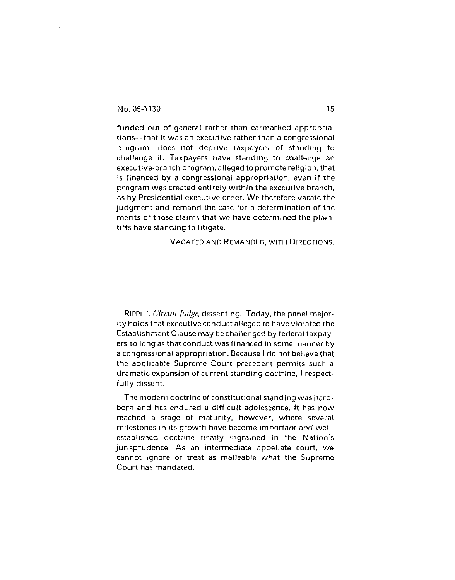$\sim$ 

funded out of general rather than earmarked appropriations-that it was an executive rather than a congressional program-does not deprive taxpayers of standing to challenge it. Taxpayers have standing to challenge an executive-branch program, alleged to promote religion, that is financed by a congressional appropriation, even if the program was created entirely within the executive branch, as by Presidential executive order. We therefore vacate the judgment and remand the case for a determination of the merits of those claims that we have determined the plaintiffs have standing to litigate.

VACATED AND REMANDED, WITH DIRECTIONS.

RIPPLE, **CircuitJudge,** dissenting. Today, the panel majority holds that executive conduct alleged to have violated the Establishment Clause may bechalienged by federal taxpayers so long as that conduct was financed in some manner by a congressional appropriation. Because I do not believe that the applicable Supreme Court precedent permits such a dramatic expansion of current standing doctrine, I respectfully dissent.

The modern doctrine of constitutional standing was hardborn and has endured a difficult adolescence. It has now reached a stage of maturity, however, where several milestones in its growth have become important and wellestablished doctrine firmly ingrained in the Nation's jurisprudence. As an intermediate appellate court, we cannot ignore or treat as malleable what the Supreme Court has mandated.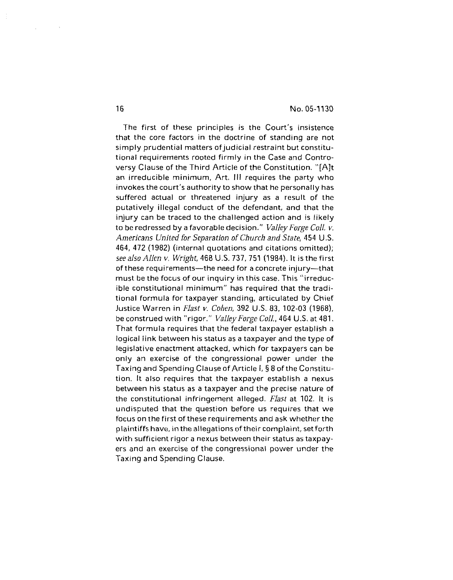The first of these principles is the Court's insistence that the core factors in the doctrine of standing are not simply prudential matters of judicial restraint but constitutional requirements rooted firmly in the Case and Controversy Clause of the Third Article of the Constitution. "fA]t an irreducible minimum, Art. Ill requires the party who invokes the court's authority to show that he personally has suffered actual or threatened injury as a result of the putatively illegal conduct of the defendant, and that the njury can be traced to the challenged action and is likely to be redressed by a favorable decision." *ValleyForge Coll.* **v.**  *Americans United for Separation of Church and State,* 454 U.S. 464, 472 (1982) (internal quotations and citations omitted); *see also Alien* **v.** *Wright,* 468 US. 737, 751 (1984). It is the first of these requirements-the need for a concrete injury-that must be the focus of our inquiry in this case. This "irreducible constitutional minimum" has required that the traditional formula for taxpayer standing, articulated by Chief Justice Warren in *Flast* **v.** *Cohen,* 392 US. 83, 102-03 (1968), be construed with "rigor." *ValleyForge Coll.,* 464 U.S. at 481. That formula requires that the federal taxpayer establish a logical link between his status as a taxpayer and the type of legislative enactment attacked, which for taxpayers can be only an exercise of the congressional power under the Taxing and Spending Clause of Article I, 5 8 of the Constitution. It also requires that the taxpayer establish a nexus between his status as a taxpayer and the precise nature of the constitutional infringement alleged. *Flast* at 102. It is undisputed that the question before us requires that we focus on the first of these requirements and ask whether the plaintiffs have, inthe allegationsof their complaint, set forth with sufficient rigor a nexus between their status as taxpayers and an exercise of the congressional power under the Taxing and Spending Clause.

 $\sim \sqrt{2}$ 

 $\mathcal{L}$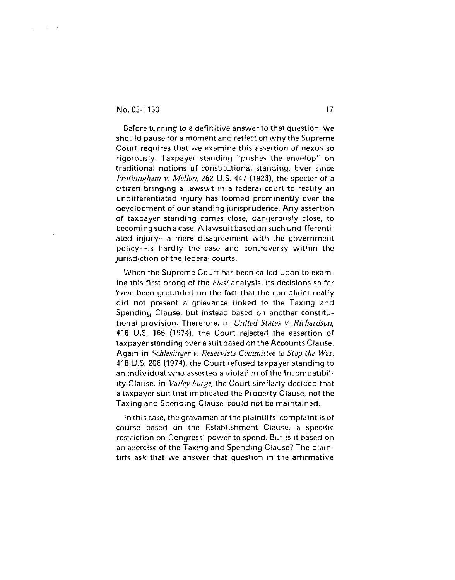$\frac{1}{2}$  ,  $\frac{1}{2}$  ,  $\frac{1}{2}$  ,  $\frac{1}{2}$  ,  $\frac{1}{2}$ 

Before turning to a definitive answer to that question, we should pause for a moment and reflect on why the Supreme Court requires that we examine this assertion of nexus so rigorously. Taxpayer standing "pushes the envelop" on traditional notions of constitutional standing. Ever since *Frothingham v. Mellon,* 262 U.S. 447 (1923), the specter of a citizen bringing a lawsuit in a federal court to rectify an undifferentiated injury has loomed prominently over the development of our standing jurisprudence. Any assertion of taxpayer standing comes close, dangerously close, to becoming such a case. A lawsuit based on such undifferentiated injury-a mere disagreement with the government policy-is hardly the case and controversy within the jurisdiction of the federal courts.

When the Supreme Court has been called upon to examine this first prong of the *Flast* analysis, its decisions so far have been grounded on the fact that the complaint really did not present a grievance linked to the Taxing and Spending Clause, but instead based on another constitutional provision. Therefore, in *United States v. Richardson,*  418 U.S. *166* (1974), the Court rejected the assertion of taxpayer standing over a suit based on the Accounts Clause. Again in *Schlesinger* **v.** *Reservists Committee to Stop the War,*  418 U.S. 208 (1974), the Court refused taxpayer standing to an individual who asserted a violation of the Incompatibility Clause. In *Valley Forge,* the Court similarly decided that a taxpayer suit that implicated the Property Clause, not the Taxing and Spending Clause, could not be maintained.

In this case, the gravamen of the plaintiffs' complaint is of course based on the Establishment Clause, a specific restriction on Congress' power to spend. But is it based on an exercise of the Taxing and Spending Clause? The plaintiffs ask that we answer that question in the affirmative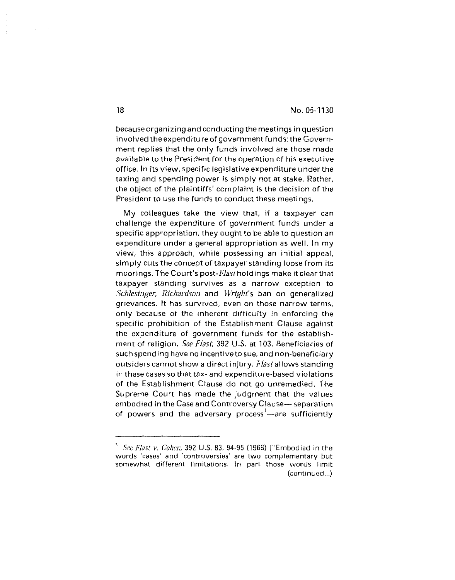because organizing and conducting the meetings in question involved the expenditure of government funds; the Government replies that the only funds involved are those made available to the President for the operation of his executive office. In its view, specific legislative expenditure under the taxing and spending power is simply not at stake. Rather, the object of the plaintiffs' complaint is the decision of the President to use the funds to conduct these meetings.

My colleagues take the view that, if a taxpayer can challenge the expenditure of government funds under a specific appropriation, they ought to be abie to question an expenditure under a general appropriation as well. In my view, this approach, while possessing an initial appeal, simply cuts the concept of taxpayer standing loose from its moorings. The Court's post-*Flast* holdings make it clear that taxpayer standing survives as a narrow exception to Schlesinger, Richardson and Wright's ban on generalized grievances. It has survived, even on those narrow terms, only because of the inherent difficulty in enforcing the specific prohibition of the Establishment Clause against the expenditure of government funds for the establishment of religion. See Flast, 392 U.S. at 103. Beneficiaries of such spending have no incentivetosue, and non-beneficiary outsiders cannot show a direct injury. Flastallows standing in these cases so that tax- and expenditure-based violations of the Establishment Clause do not go unremedied. The Supreme Court has made the judgment that the values embodied in the Case and Controversy Clause- separation of powers and the adversary process<sup>1</sup>—are sufficiently

18

<sup>1</sup>SeeFlast *v. Cohen,* 392 **U.S.** 83, 94-95 (1968) ("Embodied in the words 'cases' and 'controversies' are two complementary but somewhat different limitations, In part those words limit (continued.,.)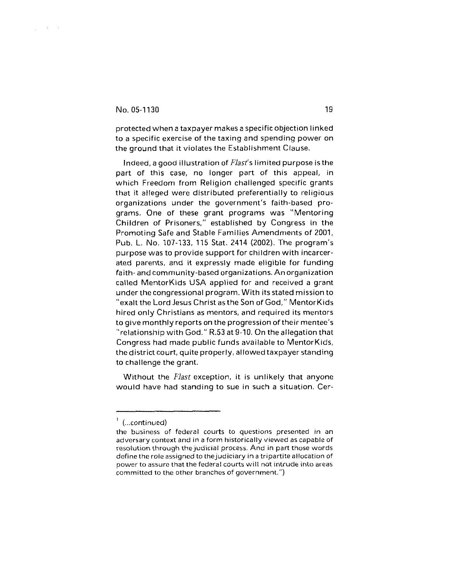$\frac{1}{2} \left( \frac{1}{2} \right) \left( \frac{1}{2} \right) \left( \frac{1}{2} \right) \left( \frac{1}{2} \right)$ 

protected when a taxpayer makes a specific objection linked to a specific exercise of the taxing and spending power on the ground that it violates the Establishment Clause.

Indeed, a good illustration of Flast's limited purpose is the part of this case, no longer part of this appeal, in which Freedom from Religion challenged specific grants that it alleged were distributed preferentially to religious organizations under the government's faith-based programs. One of these grant programs was "Mentoring Children of Prisoners," established by Congress in the Promoting Safe and Stable Families Amendments of 2001, Pub. L. No. 107-133, 115 Stat. 2414 (2002). The program's purpose was to provide support for children with incarcerated parents, and it expressly made eligible for funding faith- and community-based organizations. An organization called MentorKids USA applied for and received a grant under the congressional program. With its stated mission to "exalt the Lord Jesus Christ as the Son of God," MentorKids hired only Christians as mentors, and required its mentors to give monthly reports on the progression of their mentee's "relationship with God." R.53 at 9-10. On the allegation that Congress had made public funds available to MentorKids, the district court, quite properly, allowed taxpayer standing to challenge the grant.

Without the *Flast* exception, it is unlikely that anyone would have had standing to sue in such a situation. Cer-

**<sup>1</sup>**(..continued)

the business of federal courts to questions presented in an adversary context and in a form historically viewed as capable of resolution through thejudicial process. And in part those words define the role assigned to the judiciary in a tripartite allocation of power to assure that the federal courts will not intrude into areas committed to the other branches of government.")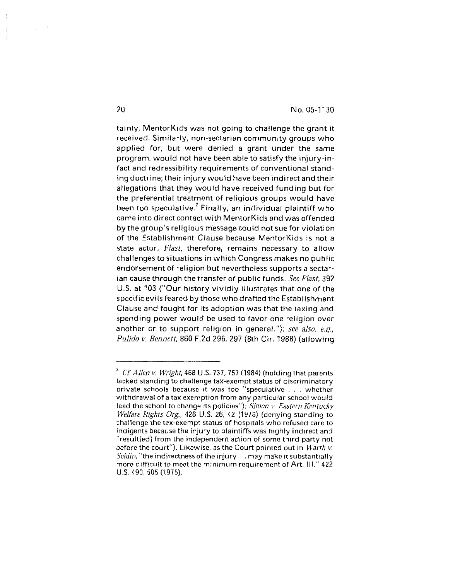tainly, MentorKids was not going to challenge the grant it received. Similarly, non-sectarian community groups who applied for, but were denied a grant under the same program, would not have been able to satisfy the injury-infact and redressibility requirements of conventional standing doctrine; their injury would have been indirectand their allegations that they would have received funding but for the preferential treatment of religious groups would have been too speculative. $2$  Finally, an individual plaintiff who came into direct contact with MentorKids and was offended by the group's religious message could not sue for violation of the Establishment Clause because MentorKids is not a state actor. *Hast,* therefore, remains necessary to allow challenges to situations in which Congress makes no public endorsement of religion but nevertheless supports a sectarian cause through the transfer of public funds. *See Flast,* 392 U.S. at 103 ("Our history vividly illustrates that one of the specific evils feared by those who drafted the Establishment Clause and fought for its adoption was that the taxing and spending power would be used to favor one religion over another or to support religion in general."); *see also, e.g., Pulido* **v.** *Bennett,* 860 F.2d 296, 297 (8th Cir. 1988) (allowing

 $\chi = \chi$ 

**<sup>2</sup>Cf** *Allen* v. *Wright,* 468 *U.S. 737,757* (1984) (holding that parents lacked standing to challenge tax-exempt status of discriminatory private schools because it was too "speculative . . . whether withdrawal of a tax exemption from any particular school would ead the school to change its policies"); *Simon* v. *Eastern Kentucky Welfare Rights Org.,* 426 U.S. 26, 42 (1976) (denying standing to challenge the tax-exempt status of hospitals who refused care to indigents because the injury to plaintiffs was highly indirect and result[ed] from the independent action of some third party not before the court"). Likewise, as the Court pointed out in *Warth* v. *Seldin,* "the indirectness of the injury. . . may make it substantially more difficult to meet the minimum requirement of Art. Ill." 422 U.S. 490, 505 (1975).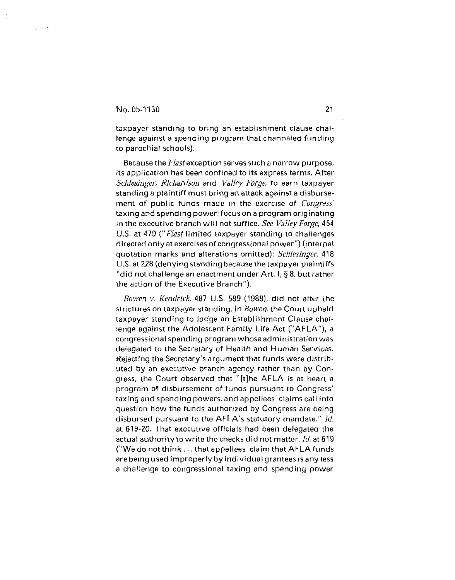taxpayer standing to bring an establishment clause challenge against a spending program that channeled funding to parochial schools).

Because the Flast exception serves such a narrow purpose, its application has been confined to its express terms. After Schlesinger, Richardson and Valley Forge, to earn taxpayer standing a plaintiff must bring an attack against a disbursement of public funds made in the exercise of *Congress'* taxing and spending power; focus on a program originating in the executive branch will not suffice. See Valley Forge,  $454$ U.S. at 479 ("Flast limited taxpayer standing to challenges directed only at exercises of congressional power") (internal quotation marks and alterations omitted); Schlesinger, 418 U.S. at 228 (denying standing because the taxpayer plaintiffs "did not challenge an enactment under  $Art. I, § 8$ , but rather the action of the Executive Branch").

Bowen v. Kendrick, 487 U.S. 589 (1988), did not alter the strictures on taxpayer standing. In Bowen, the Court upheld taxpayer standing to lodge an Establishment Clause challenge against the Adolescent Family Life Act ("AFLA"), a congressional spending program whoseadministration was delegated to the Secretary of Health and Human Services. Rejecting the Secretary's argument that funds were distributed by an executive branch agency rather than by Congress, the Court observed that "[tlhe AFLA is at heart a program of disbursement of funds pursuant to Congress' taxing and spending powers, and appellees' claims call into question how the funds authorized by Congress are being disbursed pursuant to the AFLA's statutory mandate.'' Id. at 619-20. That executive officials had been delegated the actual authority to write the checks did not matter.  $Id$ , at 619 ("We do not think.. . that appellees'claim that AFLA funds are being used improperly by individual grantees is any less a challenge to congressional taxing and spending power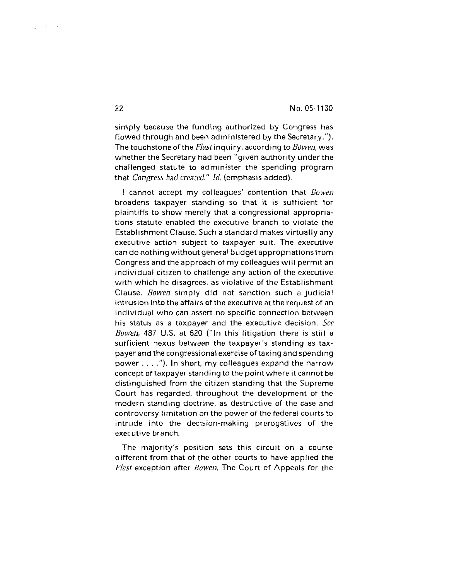simply because the funding authorized by Congress has flowed through and been administered by the Secretary."). The touchstone of the *Flast* inquiry, according to *Bowen*, was whether the Secretary had been "given authority under the challenged statute to administer the spending program that Congress *had created." Id.* (emphasis added).

I cannot accept my colleagues' contention that Bowen broadens taxpayer standing so that it is sufficient for plaintiffs to show merely that a congressional appropriations statute enabled the executive branch to violate the Establishment Clause. Such a standard makes virtually any executive action subject to taxpayer suit. The executive can do nothing without general budget appropriationsfrom Congress and the approach of my colleagues will permit an individual citizen to challenge any action of the executive with which he disagrees, as violative of the Establishment Clause. Bowen simply did not sanction such a judicial intrusion into the affairs of the executive at the request of an individual who can assert no specific connection between his status as a taxpayer and the executive decision. See Bowen, 487 U.S. at 620 ("In this litigation there is still a sufficient nexus between the taxpayer's standing as taxpayer and thecongressional exercise of taxing and spending power. . . ."). In short, my colleagues expand the narrow concept of taxpayer standing to the point where it cannot be distinguished from the citizen standing that the Supreme Court has regarded, throughout the development of the modern standing doctrine, as destructive of the case and controversy limitation on the power of the federal courts to intrude into the decision-making prerogatives of the executive branch.

The majority's position sets this circuit on a course different from that of the other courts to have applied the *Flast* exception after Bowen. The Court of Appeals for the

22

 $\langle \cdot, \cdot \rangle_{L^2(\mathbb{R}^d)}$  is i.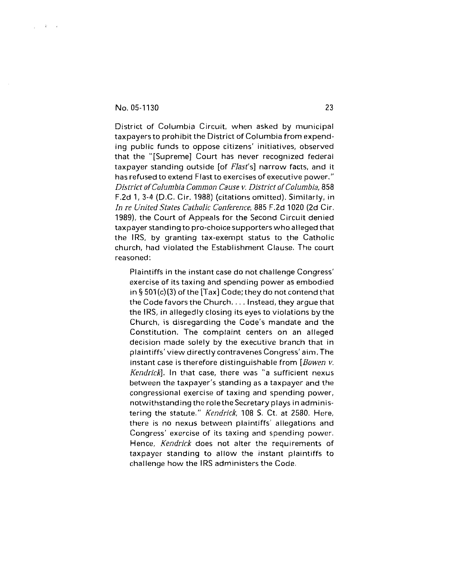$\frac{1}{2}$  ,  $\frac{1}{2}$  ,  $\frac{1}{2}$  ,  $\frac{1}{2}$ 

District of Columbia Circuit, when asked by municipal taxpayers to prohibit the District of Columbia from expending public funds to oppose citizens' initiatives, observed that the "[Supreme] Court has never recognized federal taxpayer standing outside [of Flast's] narrow facts, and it has refused to extend Flast to exercises of executive power." District of Columbia Common Cause **v.** District of Columbia, 858 F.2d 1, 3-4 (D.C. Cir. 1988) (citations omitted). Similarly, in In re United States Catholic Conference, 885 F.2d 1020 (2d Cir. 1989), the Court of Appeals for the Second Circuit denied taxpayer standing to pro-choice supporters who alleged that the IRS, by granting tax-exempt status to the Catholic church, had violated the Establishment Clause. The court reasoned:

Plaintiffs in the instant case do not challenge Congress' exercise of its taxing and spending power as embodied in  $\S 501(c)(3)$  of the [Tax] Code; they do not contend that the Code favors the Church.. . . Instead, they argue that the IRS, in allegedly closing its eyes to violations by the Church, is disregarding the Code's mandate and the Constitution. The complaint centers on an alleged decision made solely by the executive branch that in plaintiffs'view directly contravenes Congress' aim. The instant case is therefore distinguishable from [Bowen **v.**  Kendrick]. In that case, there was "a sufficient nexus between the taxpayer's standing as a taxpayer and the congressional exercise of taxing and spending power, notwithstanding the role the Secretary plays in administering the statute." Kendrick, 108 S. Ct. at 2580. Here, there is no nexus between plaintiffs' allegations and Congress' exercise of its taxing and spending power. Hence, *Kendrick* does not alter the requirements of taxpayer standing to allow the instant plaintiffs to challenge how the IRS administers the Code.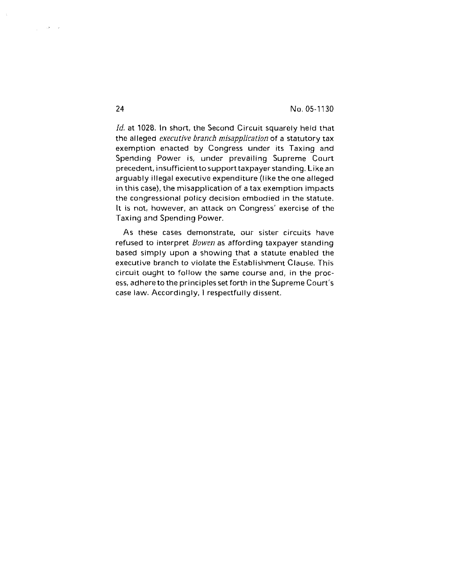Id. at 1028. In short, the Second Circuit squarely held that the alleged *executive branch misapplication* of a statutory tax exemption enacted by congress under its Taxing and Spending Power is, under prevailing Supreme Court precedent, insufficientto support taxpayer standing. Like an arguably illegal executive expenditure (like the one alleged in this case), the misapplication of a tax exemption impacts the congressional policy decision embodied in the statute. It is not, however, an attack on Congress' exercise of the Taxing and Spending Power.

As these cases demonstrate, our sister circuits have refused to interpret *Bowen* as affording taxpayer standing based simply upon a showing that a statute enabled the executive branch to violate the Establishment Clause. This circuit ought to follow the same course and, in the process, adhere to the principles set forth in the Supreme Court's case law. Accordingly, I respectfully dissent.

 $24$ 

 $\frac{1}{\sqrt{2}}\left(1-\frac{1}{2}\sum_{i=1}^{n}x_{i}\right)$